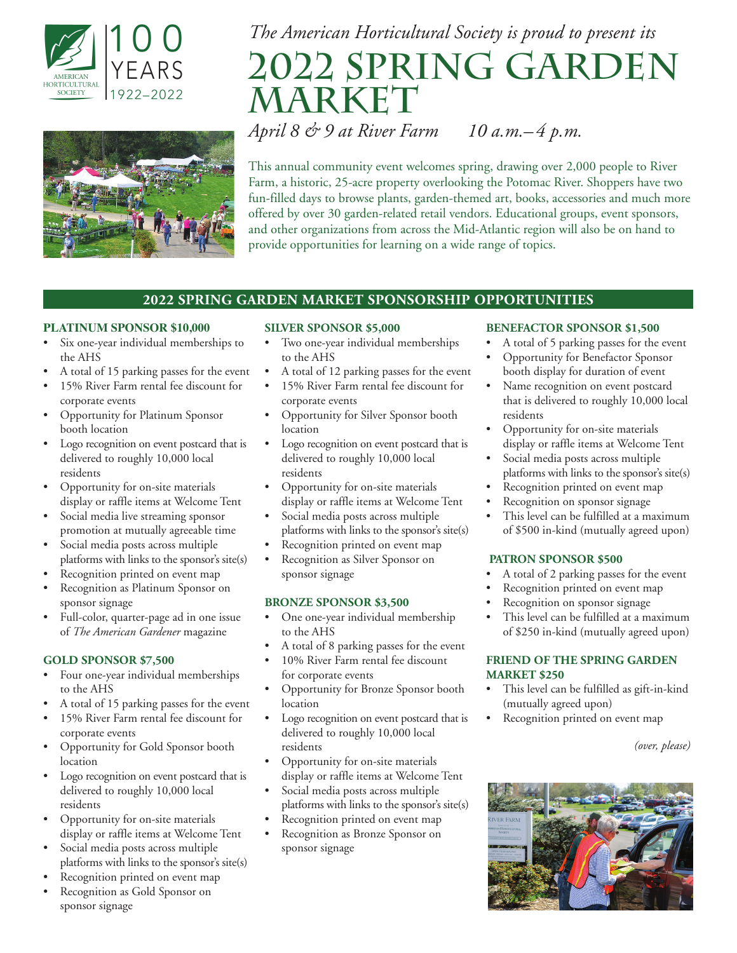



*The American Horticultural Society is proud to present its*

# **2022 Spring Garden Market**

*April 8 & 9 at River Farm 10 a.m.–4 p.m.*

This annual community event welcomes spring, drawing over 2,000 people to River Farm, a historic, 25-acre property overlooking the Potomac River. Shoppers have two fun-filled days to browse plants, garden-themed art, books, accessories and much more offered by over 30 garden-related retail vendors. Educational groups, event sponsors, and other organizations from across the Mid-Atlantic region will also be on hand to provide opportunities for learning on a wide range of topics.

# **2022 SPRING GARDEN MARKET SPONSORSHIP OPPORTUNITIES**

#### **PLATINUM SPONSOR \$10,000**

- Six one-year individual memberships to the AHS
- A total of 15 parking passes for the event
- 15% River Farm rental fee discount for corporate events
- Opportunity for Platinum Sponsor booth location
- Logo recognition on event postcard that is delivered to roughly 10,000 local residents
- Opportunity for on-site materials display or raffle items at Welcome Tent
- Social media live streaming sponsor promotion at mutually agreeable time
- Social media posts across multiple platforms with links to the sponsor's site(s)
- Recognition printed on event map
- Recognition as Platinum Sponsor on sponsor signage
- Full-color, quarter-page ad in one issue of *The American Gardener* magazine

#### **GOLD SPONSOR \$7,500**

- Four one-year individual memberships to the AHS
- A total of 15 parking passes for the event
- 15% River Farm rental fee discount for corporate events
- Opportunity for Gold Sponsor booth location
- Logo recognition on event postcard that is delivered to roughly 10,000 local residents
- Opportunity for on-site materials display or raffle items at Welcome Tent
- Social media posts across multiple platforms with links to the sponsor's site(s)
- Recognition printed on event map
- Recognition as Gold Sponsor on sponsor signage

#### **SILVER SPONSOR \$5,000**

- Two one-year individual memberships to the AHS
- A total of 12 parking passes for the event
- 15% River Farm rental fee discount for corporate events
- Opportunity for Silver Sponsor booth location
- Logo recognition on event postcard that is delivered to roughly 10,000 local residents
- Opportunity for on-site materials display or raffle items at Welcome Tent
- Social media posts across multiple platforms with links to the sponsor's site(s)
- Recognition printed on event map
- Recognition as Silver Sponsor on sponsor signage

#### **BRONZE SPONSOR \$3,500**

- One one-year individual membership to the AHS
- A total of 8 parking passes for the event
- 10% River Farm rental fee discount for corporate events
- Opportunity for Bronze Sponsor booth location
- Logo recognition on event postcard that is delivered to roughly 10,000 local residents
- Opportunity for on-site materials display or raffle items at Welcome Tent
- Social media posts across multiple platforms with links to the sponsor's site(s)
- Recognition printed on event map
- Recognition as Bronze Sponsor on sponsor signage

#### **BENEFACTOR SPONSOR \$1,500**

- A total of 5 parking passes for the event
- Opportunity for Benefactor Sponsor booth display for duration of event
- Name recognition on event postcard that is delivered to roughly 10,000 local residents
- Opportunity for on-site materials display or raffle items at Welcome Tent
- Social media posts across multiple platforms with links to the sponsor's site(s)
- Recognition printed on event map
- Recognition on sponsor signage
- This level can be fulfilled at a maximum of \$500 in-kind (mutually agreed upon)

# **PATRON SPONSOR \$500**

- A total of 2 parking passes for the event
- Recognition printed on event map
- Recognition on sponsor signage
- This level can be fulfilled at a maximum of \$250 in-kind (mutually agreed upon)

#### **FRIEND OF THE SPRING GARDEN MARKET \$250**

- This level can be fulfilled as gift-in-kind (mutually agreed upon)
- Recognition printed on event map

*(over, please)*